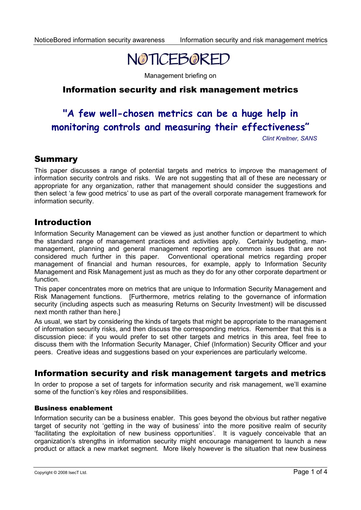

Management briefing on

# Information security and risk management metrics

# **"A few well-chosen metrics can be a huge help in monitoring controls and measuring their effectiveness"**

*Clint Kreitner, SANS*

### Summary

This paper discusses a range of potential targets and metrics to improve the management of information security controls and risks. We are not suggesting that all of these are necessary or appropriate for any organization, rather that management should consider the suggestions and then select 'a few good metrics' to use as part of the overall corporate management framework for information security.

### Introduction

Information Security Management can be viewed as just another function or department to which the standard range of management practices and activities apply. Certainly budgeting, manmanagement, planning and general management reporting are common issues that are not considered much further in this paper. Conventional operational metrics regarding proper management of financial and human resources, for example, apply to Information Security Management and Risk Management just as much as they do for any other corporate department or function.

This paper concentrates more on metrics that are unique to Information Security Management and Risk Management functions. [Furthermore, metrics relating to the governance of information security (including aspects such as measuring Returns on Security Investment) will be discussed next month rather than here.]

As usual, we start by considering the kinds of targets that might be appropriate to the management of information security risks, and then discuss the corresponding metrics. Remember that this is a discussion piece: if you would prefer to set other targets and metrics in this area, feel free to discuss them with the Information Security Manager, Chief (Information) Security Officer and your peers. Creative ideas and suggestions based on your experiences are particularly welcome.

### Information security and risk management targets and metrics

In order to propose a set of targets for information security and risk management, we'll examine some of the function's key rôles and responsibilities.

#### Business enablement

Information security can be a business enabler. This goes beyond the obvious but rather negative target of security not 'getting in the way of business' into the more positive realm of security 'facilitating the exploitation of new business opportunities'. It is vaguely conceivable that an organization's strengths in information security might encourage management to launch a new product or attack a new market segment. More likely however is the situation that new business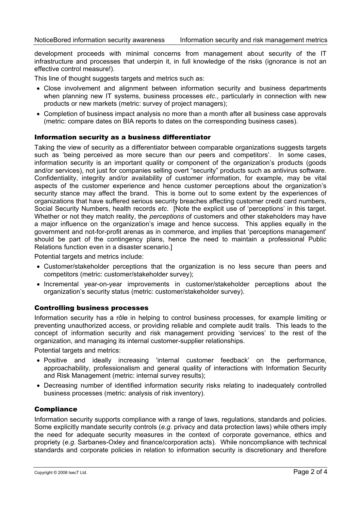development proceeds with minimal concerns from management about security of the IT infrastructure and processes that underpin it, in full knowledge of the risks (ignorance is not an effective control measure!).

This line of thought suggests targets and metrics such as:

- Close involvement and alignment between information security and business departments when planning new IT systems, business processes *etc*., particularly in connection with new products or new markets (metric: survey of project managers);
- Completion of business impact analysis no more than a month after all business case approvals (metric: compare dates on BIA reports to dates on the corresponding business cases).

#### Information security as a business differentiator

Taking the view of security as a differentiator between comparable organizations suggests targets such as 'being perceived as more secure than our peers and competitors'. In some cases, information security is an important quality or component of the organization's products (goods and/or services), not just for companies selling overt "security" products such as antivirus software. Confidentiality, integrity and/or availability of customer information, for example, may be vital aspects of the customer experience and hence customer perceptions about the organization's security stance may affect the brand. This is borne out to some extent by the experiences of organizations that have suffered serious security breaches affecting customer credit card numbers, Social Security Numbers, health records *etc*. [Note the explicit use of 'perceptions' in this target. Whether or not they match reality, the *perceptions* of customers and other stakeholders may have a major influence on the organization's image and hence success. This applies equally in the government and not-for-profit arenas as in commerce, and implies that 'perceptions management' should be part of the contingency plans, hence the need to maintain a professional Public Relations function even in a disaster scenario.]

Potential targets and metrics include:

- Customer/stakeholder perceptions that the organization is no less secure than peers and competitors (metric: customer/stakeholder survey);
- Incremental year-on-year improvements in customer/stakeholder perceptions about the organization's security status (metric: customer/stakeholder survey).

#### Controlling business processes

Information security has a rôle in helping to control business processes, for example limiting or preventing unauthorized access, or providing reliable and complete audit trails. This leads to the concept of information security and risk management providing 'services' to the rest of the organization, and managing its internal customer-supplier relationships.

Potential targets and metrics:

- Positive and ideally increasing 'internal customer feedback' on the performance, approachability, professionalism and general quality of interactions with Information Security and Risk Management (metric: internal survey results);
- Decreasing number of identified information security risks relating to inadequately controlled business processes (metric: analysis of risk inventory).

#### **Compliance**

Information security supports compliance with a range of laws, regulations, standards and policies. Some explicitly mandate security controls (*e.g*. privacy and data protection laws) while others imply the need for adequate security measures in the context of corporate governance, ethics and propriety (*e.g*. Sarbanes-Oxley and finance/corporation acts). While noncompliance with technical standards and corporate policies in relation to information security is discretionary and therefore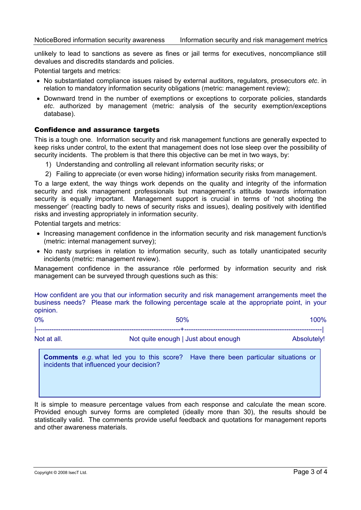unlikely to lead to sanctions as severe as fines or jail terms for executives, noncompliance still devalues and discredits standards and policies.

Potential targets and metrics:

- No substantiated compliance issues raised by external auditors, regulators, prosecutors *etc*. in relation to mandatory information security obligations (metric: management review);
- Downward trend in the number of exemptions or exceptions to corporate policies, standards *etc*. authorized by management (metric: analysis of the security exemption/exceptions database).

#### Confidence and assurance targets

This is a tough one. Information security and risk management functions are generally expected to keep risks under control, to the extent that management does not lose sleep over the possibility of security incidents. The problem is that there this objective can be met in two ways, by:

- 1) Understanding and controlling all relevant information security risks; or
- 2) Failing to appreciate (or even worse hiding) information security risks from management.

To a large extent, the way things work depends on the quality and integrity of the information security and risk management professionals but management's attitude towards information security is equally important. Management support is crucial in terms of 'not shooting the messenger' (reacting badly to news of security risks and issues), dealing positively with identified risks and investing appropriately in information security.

Potential targets and metrics:

- Increasing management confidence in the information security and risk management function/s (metric: internal management survey);
- No nasty surprises in relation to information security, such as totally unanticipated security incidents (metric: management review).

Management confidence in the assurance rôle performed by information security and risk management can be surveyed through questions such as this:

How confident are you that our information security and risk management arrangements meet the business needs? Please mark the following percentage scale at the appropriate point, in your opinion.

| 0%          | 50%                                  | 100%        |
|-------------|--------------------------------------|-------------|
|             |                                      |             |
| Not at all. | Not quite enough   Just about enough | Absolutely! |

**Comments** *e.g*. what led you to this score? Have there been particular situations or incidents that influenced your decision?

It is simple to measure percentage values from each response and calculate the mean score. Provided enough survey forms are completed (ideally more than 30), the results should be statistically valid. The comments provide useful feedback and quotations for management reports and other awareness materials.